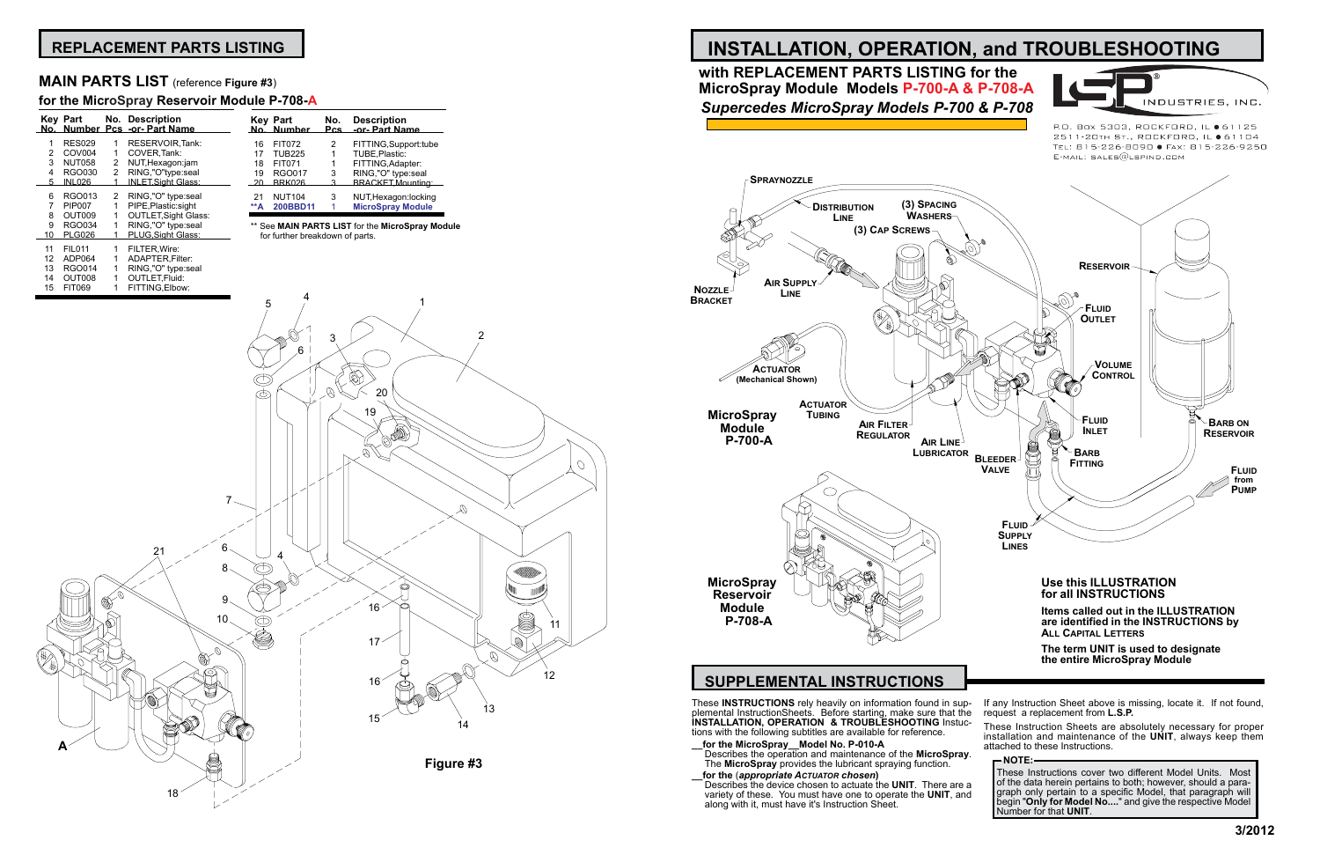# **INSTALLATION, OPERATION, and TROUBLESHOOTING**

These **INSTRUCTIONS** rely heavily on information found in supplemental InstructionSheets. Before starting, make sure that the **INSTALLATION, OPERATION & TROUBLESHOOTING** Instuctions with the following subtitles are available for reference.

- **\_\_for the MicroSpray\_\_Model No. P-010-A**
- Describes the operation and maintenance of the **MicroSpray**. The **MicroSpray** provides the lubricant spraying function. **\_\_for the** (*appropriate Actuator chosen***)** Describes the device chosen to actuate the **UNIT**. There are a variety of these. You must have one to operate the **UNIT**, and along with it, must have it's Instruction Sheet. **NOTE:** These Instructions cover two different Model Units. Most of the data herein pertains to both; however, should a paragraph only pertain to a specific Model, that paragraph will begin "**Only for Model No....**" and give the respective Model Number for that **UNIT**.
- 



P.O. Box 5303, ROCKFORD, IL ● 61125 2511-20TH ST., ROCKFORD, IL ● 61104 TEL: 815-226-8090 · FAX: 815-226-9250  $E$ -MAIL: SALES $@$ LSPIND.COM

- If any Instruction Sheet above is missing, locate it. If not found, request a replacement from **L.S.P.**
- These Instruction Sheets are absolutely necessary for proper installation and maintenance of the **UNIT**, always keep them attached to these Instructions.

# **SUPPLEMENTAL INSTRUCTIONS**

# **with REPLACEMENT PARTS LISTING for the MicroSpray Module Models P-700-A & P-708-A** *Supercedes MicroSpray Models P-700 & P-708*

# **REPLACEMENT PARTS LISTING**

### **MAIN PARTS LIST** (reference **Figure #3**)

### **for the MicroSpray Reservoir Module P-708-A**

|          | Key Part                            |                       | No. Description<br>No. Number Pcs -or- Part Name |              | Kev Part<br>No. Numb             |
|----------|-------------------------------------|-----------------------|--------------------------------------------------|--------------|----------------------------------|
| 1<br>2   | <b>RES029</b><br>COV <sub>004</sub> | 1<br>1                | <b>RESERVOIR Tank:</b><br>COVER, Tank:           | 16           | FIT072                           |
| 3        | <b>NUT058</b>                       | $\overline{2}$        | NUT, Hexagon:jam                                 | 17<br>18     | TUB <sub>22</sub><br>FIT07'      |
| 4<br>5   | RGO030<br><b>INL026</b>             | $\mathbf{2}^{\prime}$ | RING,"O"type:seal<br>INLET, Sight Glass:         | 19<br>- 20   | RGO <sub>0</sub><br>BRK02        |
| 6<br>7   | RGO013<br><b>PIP007</b>             | 2<br>1                | RING,"O" type:seal<br>PIPE, Plastic: sight       | 21<br>$*^*A$ | NUT <sub>1</sub><br><b>200BE</b> |
| 8        | OUT009                              | 1                     | <b>OUTLET, Sight Glass:</b>                      |              |                                  |
| 9<br>10  | <b>RGO034</b><br><b>PLG026</b>      | 1                     | RING,"O" type:seal<br>PLUG, Sight Glass:         |              | ** See MAIN<br>for further       |
| 11<br>12 | <b>FIL011</b><br>ADP064             | 1<br>1                | FILTER, Wire:<br>ADAPTER, Filter:                |              |                                  |
| 13<br>14 | <b>RGO014</b><br>OUT008             |                       | RING,"O" type:seal<br><b>OUTLET.Fluid:</b>       |              |                                  |
|          |                                     |                       |                                                  |              |                                  |

|            | <b>Key Part</b><br>No. Number | No. | <b>Description</b><br>Pcs -or- Part Name |
|------------|-------------------------------|-----|------------------------------------------|
| 16         | <b>FIT072</b>                 | 2   | FITTING, Support: tube                   |
| 17         | <b>TUB225</b>                 | 1   | TUBE, Plastic:                           |
| 18         | <b>FIT071</b>                 | 1   | FITTING, Adapter:                        |
| 19         | <b>RGO017</b>                 | 3   | RING,"O" type:seal                       |
| - 20       | <b>BRK026</b>                 | з   | BRACKET, Mounting:                       |
| 21         | <b>NUT104</b>                 | 3   | NUT, Hexagon: locking                    |
| $**\Delta$ | 200BBD11                      |     | <b>MicroSpray Module</b>                 |

**N PARTS LIST** for the MicroSpray Module breakdown of parts.

> **The term UNIT is used to designate the entire MicroSpray Module**